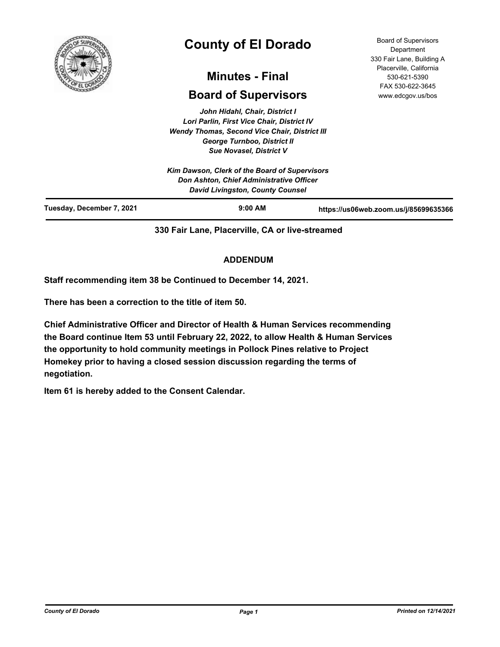

# **County of El Dorado**

# **Minutes - Final**

# **Board of Supervisors**

*John Hidahl, Chair, District I Lori Parlin, First Vice Chair, District IV Wendy Thomas, Second Vice Chair, District III George Turnboo, District II Sue Novasel, District V*

Board of Supervisors **Department** 330 Fair Lane, Building A Placerville, California 530-621-5390 FAX 530-622-3645 www.edcgov.us/bos

|                           | Kim Dawson, Clerk of the Board of Supervisors<br>Don Ashton, Chief Administrative Officer<br><b>David Livingston, County Counsel</b> |                                       |
|---------------------------|--------------------------------------------------------------------------------------------------------------------------------------|---------------------------------------|
| Tuesday, December 7, 2021 | $9:00$ AM                                                                                                                            | https://us06web.zoom.us/j/85699635366 |

**330 Fair Lane, Placerville, CA or live-streamed**

## **ADDENDUM**

**Staff recommending item 38 be Continued to December 14, 2021.**

**There has been a correction to the title of item 50.**

**Chief Administrative Officer and Director of Health & Human Services recommending the Board continue Item 53 until February 22, 2022, to allow Health & Human Services the opportunity to hold community meetings in Pollock Pines relative to Project Homekey prior to having a closed session discussion regarding the terms of negotiation.**

**Item 61 is hereby added to the Consent Calendar.**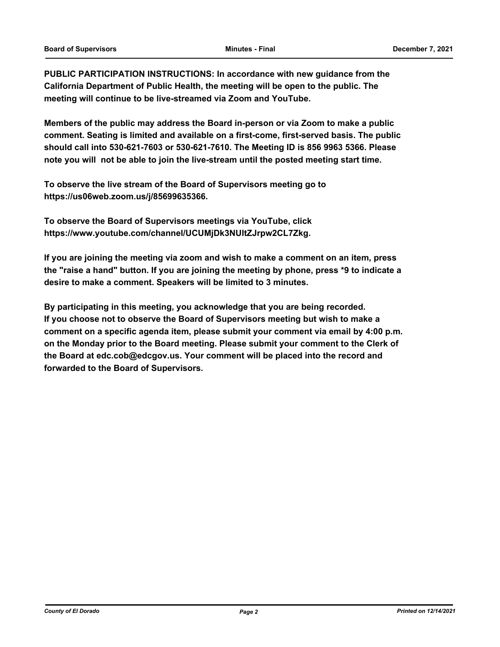**PUBLIC PARTICIPATION INSTRUCTIONS: In accordance with new guidance from the California Department of Public Health, the meeting will be open to the public. The meeting will continue to be live-streamed via Zoom and YouTube.**

**Members of the public may address the Board in-person or via Zoom to make a public comment. Seating is limited and available on a first-come, first-served basis. The public should call into 530-621-7603 or 530-621-7610. The Meeting ID is 856 9963 5366. Please note you will not be able to join the live-stream until the posted meeting start time.**

**To observe the live stream of the Board of Supervisors meeting go to https://us06web.zoom.us/j/85699635366.**

**To observe the Board of Supervisors meetings via YouTube, click https://www.youtube.com/channel/UCUMjDk3NUltZJrpw2CL7Zkg.**

**If you are joining the meeting via zoom and wish to make a comment on an item, press the "raise a hand" button. If you are joining the meeting by phone, press \*9 to indicate a desire to make a comment. Speakers will be limited to 3 minutes.**

**By participating in this meeting, you acknowledge that you are being recorded. If you choose not to observe the Board of Supervisors meeting but wish to make a comment on a specific agenda item, please submit your comment via email by 4:00 p.m. on the Monday prior to the Board meeting. Please submit your comment to the Clerk of the Board at edc.cob@edcgov.us. Your comment will be placed into the record and forwarded to the Board of Supervisors.**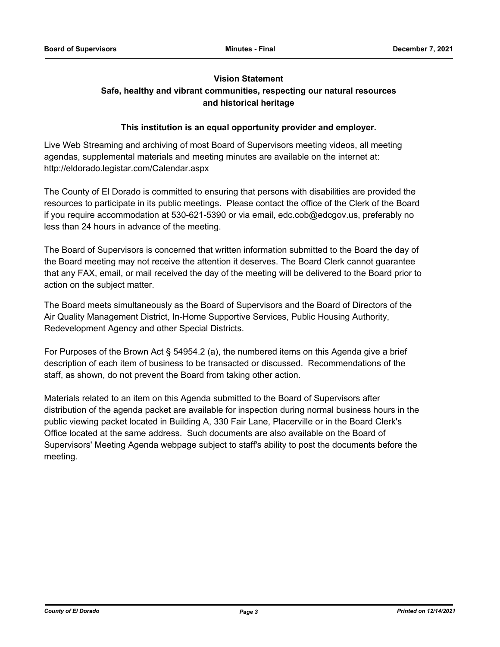# **Vision Statement**

# **Safe, healthy and vibrant communities, respecting our natural resources and historical heritage**

## **This institution is an equal opportunity provider and employer.**

Live Web Streaming and archiving of most Board of Supervisors meeting videos, all meeting agendas, supplemental materials and meeting minutes are available on the internet at: http://eldorado.legistar.com/Calendar.aspx

The County of El Dorado is committed to ensuring that persons with disabilities are provided the resources to participate in its public meetings. Please contact the office of the Clerk of the Board if you require accommodation at 530-621-5390 or via email, edc.cob@edcgov.us, preferably no less than 24 hours in advance of the meeting.

The Board of Supervisors is concerned that written information submitted to the Board the day of the Board meeting may not receive the attention it deserves. The Board Clerk cannot guarantee that any FAX, email, or mail received the day of the meeting will be delivered to the Board prior to action on the subject matter.

The Board meets simultaneously as the Board of Supervisors and the Board of Directors of the Air Quality Management District, In-Home Supportive Services, Public Housing Authority, Redevelopment Agency and other Special Districts.

For Purposes of the Brown Act § 54954.2 (a), the numbered items on this Agenda give a brief description of each item of business to be transacted or discussed. Recommendations of the staff, as shown, do not prevent the Board from taking other action.

Materials related to an item on this Agenda submitted to the Board of Supervisors after distribution of the agenda packet are available for inspection during normal business hours in the public viewing packet located in Building A, 330 Fair Lane, Placerville or in the Board Clerk's Office located at the same address. Such documents are also available on the Board of Supervisors' Meeting Agenda webpage subject to staff's ability to post the documents before the meeting.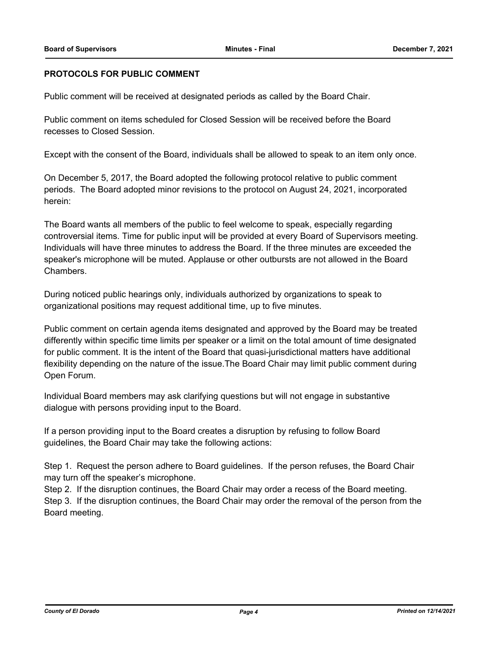#### **PROTOCOLS FOR PUBLIC COMMENT**

Public comment will be received at designated periods as called by the Board Chair.

Public comment on items scheduled for Closed Session will be received before the Board recesses to Closed Session.

Except with the consent of the Board, individuals shall be allowed to speak to an item only once.

On December 5, 2017, the Board adopted the following protocol relative to public comment periods. The Board adopted minor revisions to the protocol on August 24, 2021, incorporated herein:

The Board wants all members of the public to feel welcome to speak, especially regarding controversial items. Time for public input will be provided at every Board of Supervisors meeting. Individuals will have three minutes to address the Board. If the three minutes are exceeded the speaker's microphone will be muted. Applause or other outbursts are not allowed in the Board Chambers.

During noticed public hearings only, individuals authorized by organizations to speak to organizational positions may request additional time, up to five minutes.

Public comment on certain agenda items designated and approved by the Board may be treated differently within specific time limits per speaker or a limit on the total amount of time designated for public comment. It is the intent of the Board that quasi-jurisdictional matters have additional flexibility depending on the nature of the issue.The Board Chair may limit public comment during Open Forum.

Individual Board members may ask clarifying questions but will not engage in substantive dialogue with persons providing input to the Board.

If a person providing input to the Board creates a disruption by refusing to follow Board guidelines, the Board Chair may take the following actions:

Step 1. Request the person adhere to Board guidelines. If the person refuses, the Board Chair may turn off the speaker's microphone.

Step 2. If the disruption continues, the Board Chair may order a recess of the Board meeting. Step 3. If the disruption continues, the Board Chair may order the removal of the person from the Board meeting.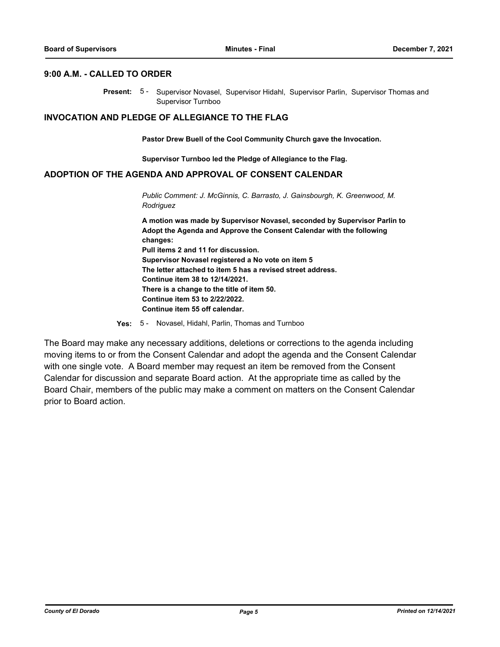#### **9:00 A.M. - CALLED TO ORDER**

Present: 5- Supervisor Novasel, Supervisor Hidahl, Supervisor Parlin, Supervisor Thomas and Supervisor Turnboo

#### **INVOCATION AND PLEDGE OF ALLEGIANCE TO THE FLAG**

**Pastor Drew Buell of the Cool Community Church gave the Invocation.**

**Supervisor Turnboo led the Pledge of Allegiance to the Flag.**

#### **ADOPTION OF THE AGENDA AND APPROVAL OF CONSENT CALENDAR**

*Public Comment: J. McGinnis, C. Barrasto, J. Gainsbourgh, K. Greenwood, M. Rodriguez*

**A motion was made by Supervisor Novasel, seconded by Supervisor Parlin to Adopt the Agenda and Approve the Consent Calendar with the following changes: Pull items 2 and 11 for discussion. Supervisor Novasel registered a No vote on item 5 The letter attached to item 5 has a revised street address. Continue item 38 to 12/14/2021. There is a change to the title of item 50. Continue item 53 to 2/22/2022. Continue item 55 off calendar.**

**Yes:** 5 - Novasel, Hidahl, Parlin, Thomas and Turnboo

The Board may make any necessary additions, deletions or corrections to the agenda including moving items to or from the Consent Calendar and adopt the agenda and the Consent Calendar with one single vote. A Board member may request an item be removed from the Consent Calendar for discussion and separate Board action. At the appropriate time as called by the Board Chair, members of the public may make a comment on matters on the Consent Calendar prior to Board action.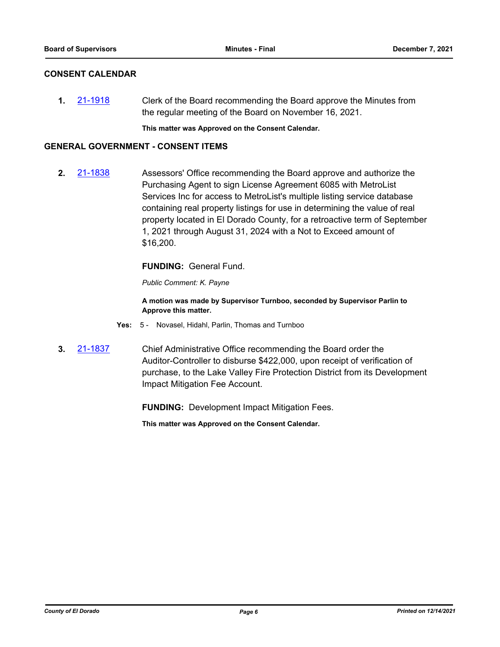#### **CONSENT CALENDAR**

**1.** [21-1918](http://eldorado.legistar.com/gateway.aspx?m=l&id=/matter.aspx?key=30814) Clerk of the Board recommending the Board approve the Minutes from the regular meeting of the Board on November 16, 2021.

**This matter was Approved on the Consent Calendar.**

#### **GENERAL GOVERNMENT - CONSENT ITEMS**

**2.** [21-1838](http://eldorado.legistar.com/gateway.aspx?m=l&id=/matter.aspx?key=30734) Assessors' Office recommending the Board approve and authorize the Purchasing Agent to sign License Agreement 6085 with MetroList Services Inc for access to MetroList's multiple listing service database containing real property listings for use in determining the value of real property located in El Dorado County, for a retroactive term of September 1, 2021 through August 31, 2024 with a Not to Exceed amount of \$16,200.

#### **FUNDING:** General Fund.

*Public Comment: K. Payne*

**A motion was made by Supervisor Turnboo, seconded by Supervisor Parlin to Approve this matter.**

- **Yes:** 5 Novasel, Hidahl, Parlin, Thomas and Turnboo
- **3.** [21-1837](http://eldorado.legistar.com/gateway.aspx?m=l&id=/matter.aspx?key=30733) Chief Administrative Office recommending the Board order the Auditor-Controller to disburse \$422,000, upon receipt of verification of purchase, to the Lake Valley Fire Protection District from its Development Impact Mitigation Fee Account.

**FUNDING:** Development Impact Mitigation Fees.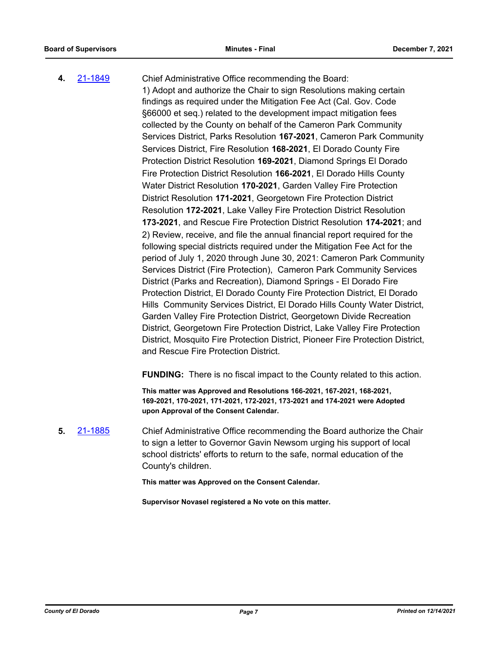**4.** [21-1849](http://eldorado.legistar.com/gateway.aspx?m=l&id=/matter.aspx?key=30745) Chief Administrative Office recommending the Board: 1) Adopt and authorize the Chair to sign Resolutions making certain findings as required under the Mitigation Fee Act (Cal. Gov. Code §66000 et seq.) related to the development impact mitigation fees collected by the County on behalf of the Cameron Park Community Services District, Parks Resolution **167-2021**, Cameron Park Community Services District, Fire Resolution **168-2021**, El Dorado County Fire Protection District Resolution **169-2021**, Diamond Springs El Dorado Fire Protection District Resolution **166-2021**, El Dorado Hills County Water District Resolution **170-2021**, Garden Valley Fire Protection District Resolution **171-2021**, Georgetown Fire Protection District Resolution **172-2021**, Lake Valley Fire Protection District Resolution **173-2021**, and Rescue Fire Protection District Resolution **174-2021**; and 2) Review, receive, and file the annual financial report required for the following special districts required under the Mitigation Fee Act for the period of July 1, 2020 through June 30, 2021: Cameron Park Community Services District (Fire Protection), Cameron Park Community Services District (Parks and Recreation), Diamond Springs - El Dorado Fire Protection District, El Dorado County Fire Protection District, El Dorado Hills Community Services District, El Dorado Hills County Water District, Garden Valley Fire Protection District, Georgetown Divide Recreation District, Georgetown Fire Protection District, Lake Valley Fire Protection District, Mosquito Fire Protection District, Pioneer Fire Protection District, and Rescue Fire Protection District.

**FUNDING:** There is no fiscal impact to the County related to this action.

**This matter was Approved and Resolutions 166-2021, 167-2021, 168-2021, 169-2021, 170-2021, 171-2021, 172-2021, 173-2021 and 174-2021 were Adopted upon Approval of the Consent Calendar.**

**5.** [21-1885](http://eldorado.legistar.com/gateway.aspx?m=l&id=/matter.aspx?key=30781) Chief Administrative Office recommending the Board authorize the Chair to sign a letter to Governor Gavin Newsom urging his support of local school districts' efforts to return to the safe, normal education of the County's children.

**This matter was Approved on the Consent Calendar.**

**Supervisor Novasel registered a No vote on this matter.**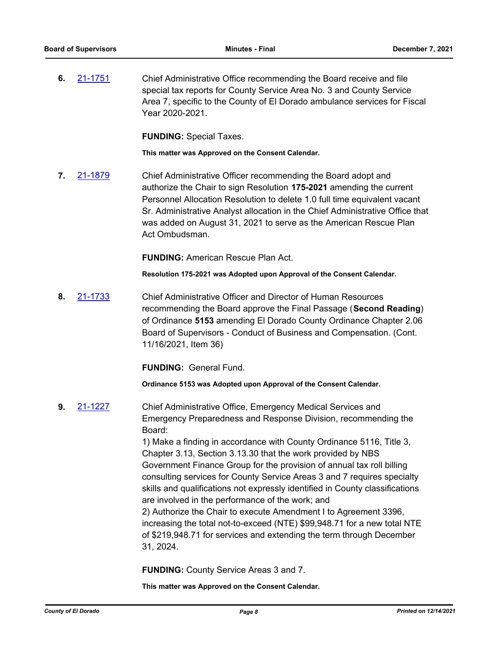**6.** [21-1751](http://eldorado.legistar.com/gateway.aspx?m=l&id=/matter.aspx?key=30647) Chief Administrative Office recommending the Board receive and file special tax reports for County Service Area No. 3 and County Service Area 7, specific to the County of El Dorado ambulance services for Fiscal Year 2020-2021.

**FUNDING:** Special Taxes.

**This matter was Approved on the Consent Calendar.**

**7.** [21-1879](http://eldorado.legistar.com/gateway.aspx?m=l&id=/matter.aspx?key=30775) Chief Administrative Officer recommending the Board adopt and authorize the Chair to sign Resolution **175-2021** amending the current Personnel Allocation Resolution to delete 1.0 full time equivalent vacant Sr. Administrative Analyst allocation in the Chief Administrative Office that was added on August 31, 2021 to serve as the American Rescue Plan Act Ombudsman.

**FUNDING:** American Rescue Plan Act.

**Resolution 175-2021 was Adopted upon Approval of the Consent Calendar.**

**8.** [21-1733](http://eldorado.legistar.com/gateway.aspx?m=l&id=/matter.aspx?key=30628) Chief Administrative Officer and Director of Human Resources recommending the Board approve the Final Passage (**Second Reading**) of Ordinance **5153** amending El Dorado County Ordinance Chapter 2.06 Board of Supervisors - Conduct of Business and Compensation. (Cont. 11/16/2021, Item 36)

**FUNDING:** General Fund.

**Ordinance 5153 was Adopted upon Approval of the Consent Calendar.**

**9.** [21-1227](http://eldorado.legistar.com/gateway.aspx?m=l&id=/matter.aspx?key=30122) Chief Administrative Office, Emergency Medical Services and Emergency Preparedness and Response Division, recommending the Board:

> 1) Make a finding in accordance with County Ordinance 5116, Title 3, Chapter 3.13, Section 3.13.30 that the work provided by NBS Government Finance Group for the provision of annual tax roll billing consulting services for County Service Areas 3 and 7 requires specialty skills and qualifications not expressly identified in County classifications are involved in the performance of the work; and 2) Authorize the Chair to execute Amendment I to Agreement 3396,

> increasing the total not-to-exceed (NTE) \$99,948.71 for a new total NTE of \$219,948.71 for services and extending the term through December 31, 2024.

**FUNDING:** County Service Areas 3 and 7.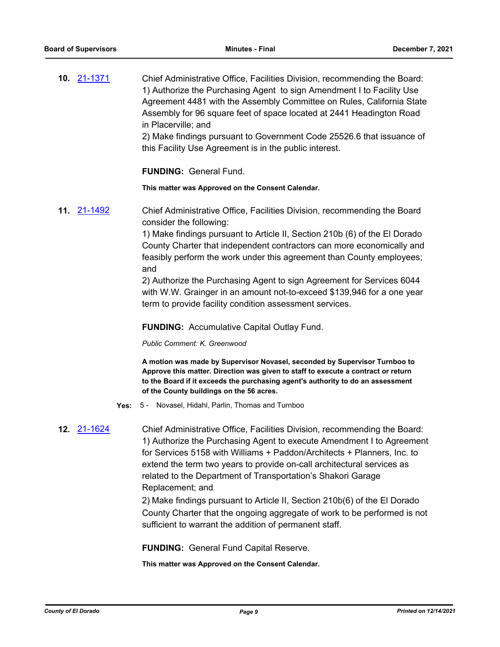**10.** [21-1371](http://eldorado.legistar.com/gateway.aspx?m=l&id=/matter.aspx?key=30266) Chief Administrative Office, Facilities Division, recommending the Board: 1) Authorize the Purchasing Agent to sign Amendment I to Facility Use Agreement 4481 with the Assembly Committee on Rules, California State Assembly for 96 square feet of space located at 2441 Headington Road in Placerville; and

2) Make findings pursuant to Government Code 25526.6 that issuance of this Facility Use Agreement is in the public interest.

**FUNDING:** General Fund.

**This matter was Approved on the Consent Calendar.**

**11.** [21-1492](http://eldorado.legistar.com/gateway.aspx?m=l&id=/matter.aspx?key=30387) Chief Administrative Office, Facilities Division, recommending the Board consider the following:

> 1) Make findings pursuant to Article II, Section 210b (6) of the El Dorado County Charter that independent contractors can more economically and feasibly perform the work under this agreement than County employees; and

> 2) Authorize the Purchasing Agent to sign Agreement for Services 6044 with W.W. Grainger in an amount not-to-exceed \$139,946 for a one year term to provide facility condition assessment services.

#### **FUNDING:** Accumulative Capital Outlay Fund.

#### *Public Comment: K. Greenwood*

**A motion was made by Supervisor Novasel, seconded by Supervisor Turnboo to Approve this matter. Direction was given to staff to execute a contract or return to the Board if it exceeds the purchasing agent's authority to do an assessment of the County buildings on the 56 acres.**

**Yes:** 5 - Novasel, Hidahl, Parlin, Thomas and Turnboo

**12.** [21-1624](http://eldorado.legistar.com/gateway.aspx?m=l&id=/matter.aspx?key=30519) Chief Administrative Office, Facilities Division, recommending the Board: 1) Authorize the Purchasing Agent to execute Amendment I to Agreement for Services 5158 with Williams + Paddon/Architects + Planners, Inc. to extend the term two years to provide on-call architectural services as related to the Department of Transportation's Shakori Garage Replacement; and

> 2) Make findings pursuant to Article II, Section 210b(6) of the El Dorado County Charter that the ongoing aggregate of work to be performed is not sufficient to warrant the addition of permanent staff.

**FUNDING:** General Fund Capital Reserve.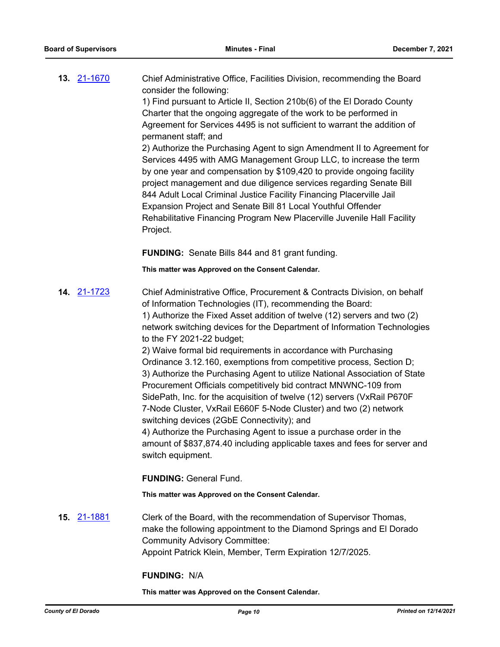| 13. 21-1670 | Chief Administrative Office, Facilities Division, recommending the Board<br>consider the following: |
|-------------|-----------------------------------------------------------------------------------------------------|
|             | 1) Find pursuant to Article II, Section 210b(6) of the El Dorado County                             |
|             | Charter that the ongoing aggregate of the work to be performed in                                   |
|             | Agreement for Services 4495 is not sufficient to warrant the addition of<br>permanent staff; and    |
|             | 2) Authorize the Purchasing Agent to sign Amendment II to Agreement for                             |
|             | Services 4495 with AMG Management Group LLC, to increase the term                                   |
|             | by one year and compensation by \$109,420 to provide ongoing facility                               |
|             | project management and due diligence services regarding Senate Bill                                 |
|             | 844 Adult Local Criminal Justice Facility Financing Placerville Jail                                |
|             | Expansion Project and Senate Bill 81 Local Youthful Offender                                        |
|             | Rehabilitative Financing Program New Placerville Juvenile Hall Facility                             |

**FUNDING:** Senate Bills 844 and 81 grant funding.

Project.

**This matter was Approved on the Consent Calendar.**

**14.** [21-1723](http://eldorado.legistar.com/gateway.aspx?m=l&id=/matter.aspx?key=30618) Chief Administrative Office, Procurement & Contracts Division, on behalf of Information Technologies (IT), recommending the Board: 1) Authorize the Fixed Asset addition of twelve (12) servers and two (2) network switching devices for the Department of Information Technologies to the FY 2021-22 budget; 2) Waive formal bid requirements in accordance with Purchasing Ordinance 3.12.160, exemptions from competitive process, Section D; 3) Authorize the Purchasing Agent to utilize National Association of State Procurement Officials competitively bid contract MNWNC-109 from SidePath, Inc. for the acquisition of twelve (12) servers (VxRail P670F 7-Node Cluster, VxRail E660F 5-Node Cluster) and two (2) network switching devices (2GbE Connectivity); and 4) Authorize the Purchasing Agent to issue a purchase order in the amount of \$837,874.40 including applicable taxes and fees for server and switch equipment. **FUNDING:** General Fund. **This matter was Approved on the Consent Calendar. 15.** [21-1881](http://eldorado.legistar.com/gateway.aspx?m=l&id=/matter.aspx?key=30777) Clerk of the Board, with the recommendation of Supervisor Thomas, make the following appointment to the Diamond Springs and El Dorado Community Advisory Committee:

Appoint Patrick Klein, Member, Term Expiration 12/7/2025.

### **FUNDING:** N/A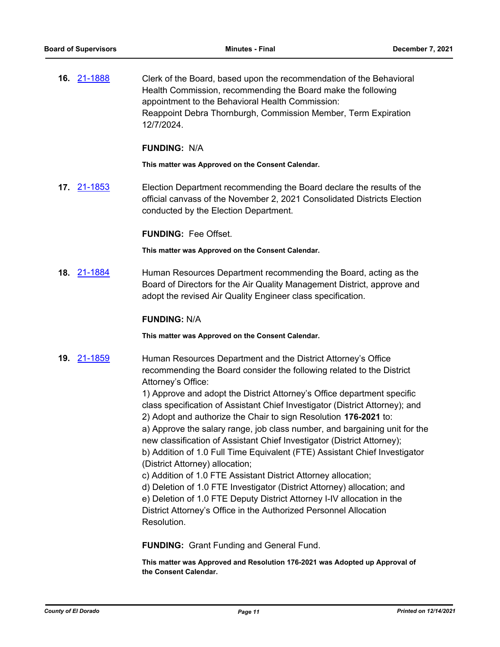**16.** [21-1888](http://eldorado.legistar.com/gateway.aspx?m=l&id=/matter.aspx?key=30784) Clerk of the Board, based upon the recommendation of the Behavioral Health Commission, recommending the Board make the following appointment to the Behavioral Health Commission: Reappoint Debra Thornburgh, Commission Member, Term Expiration 12/7/2024.

#### **FUNDING:** N/A

**This matter was Approved on the Consent Calendar.**

**17.** [21-1853](http://eldorado.legistar.com/gateway.aspx?m=l&id=/matter.aspx?key=30749) Election Department recommending the Board declare the results of the official canvass of the November 2, 2021 Consolidated Districts Election conducted by the Election Department.

**FUNDING:** Fee Offset.

**This matter was Approved on the Consent Calendar.**

**18.** [21-1884](http://eldorado.legistar.com/gateway.aspx?m=l&id=/matter.aspx?key=30780) Human Resources Department recommending the Board, acting as the Board of Directors for the Air Quality Management District, approve and adopt the revised Air Quality Engineer class specification.

#### **FUNDING:** N/A

**This matter was Approved on the Consent Calendar.**

**19.** [21-1859](http://eldorado.legistar.com/gateway.aspx?m=l&id=/matter.aspx?key=30755) Human Resources Department and the District Attorney's Office recommending the Board consider the following related to the District Attorney's Office:

> 1) Approve and adopt the District Attorney's Office department specific class specification of Assistant Chief Investigator (District Attorney); and 2) Adopt and authorize the Chair to sign Resolution **176-2021** to:

a) Approve the salary range, job class number, and bargaining unit for the new classification of Assistant Chief Investigator (District Attorney); b) Addition of 1.0 Full Time Equivalent (FTE) Assistant Chief Investigator (District Attorney) allocation;

c) Addition of 1.0 FTE Assistant District Attorney allocation;

d) Deletion of 1.0 FTE Investigator (District Attorney) allocation; and e) Deletion of 1.0 FTE Deputy District Attorney I-IV allocation in the District Attorney's Office in the Authorized Personnel Allocation Resolution.

**FUNDING:** Grant Funding and General Fund.

**This matter was Approved and Resolution 176-2021 was Adopted up Approval of the Consent Calendar.**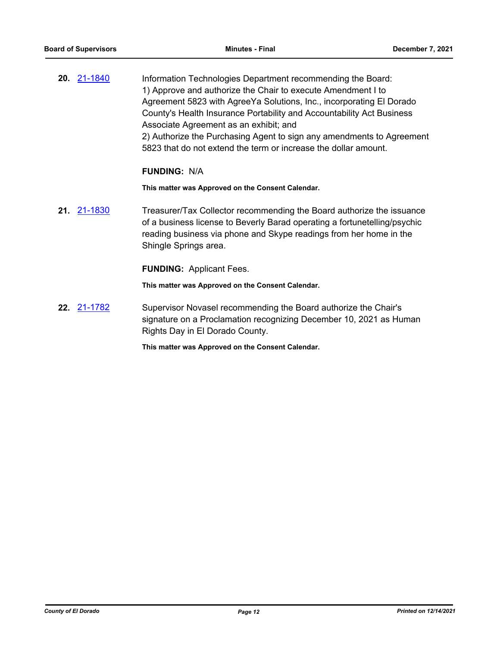**20.** [21-1840](http://eldorado.legistar.com/gateway.aspx?m=l&id=/matter.aspx?key=30736) Information Technologies Department recommending the Board: 1) Approve and authorize the Chair to execute Amendment I to Agreement 5823 with AgreeYa Solutions, Inc., incorporating El Dorado County's Health Insurance Portability and Accountability Act Business Associate Agreement as an exhibit; and 2) Authorize the Purchasing Agent to sign any amendments to Agreement 5823 that do not extend the term or increase the dollar amount.

#### **FUNDING:** N/A

**This matter was Approved on the Consent Calendar.**

**21.** [21-1830](http://eldorado.legistar.com/gateway.aspx?m=l&id=/matter.aspx?key=30726) Treasurer/Tax Collector recommending the Board authorize the issuance of a business license to Beverly Barad operating a fortunetelling/psychic reading business via phone and Skype readings from her home in the Shingle Springs area.

**FUNDING:** Applicant Fees.

**This matter was Approved on the Consent Calendar.**

**22.** [21-1782](http://eldorado.legistar.com/gateway.aspx?m=l&id=/matter.aspx?key=30678) Supervisor Novasel recommending the Board authorize the Chair's signature on a Proclamation recognizing December 10, 2021 as Human Rights Day in El Dorado County.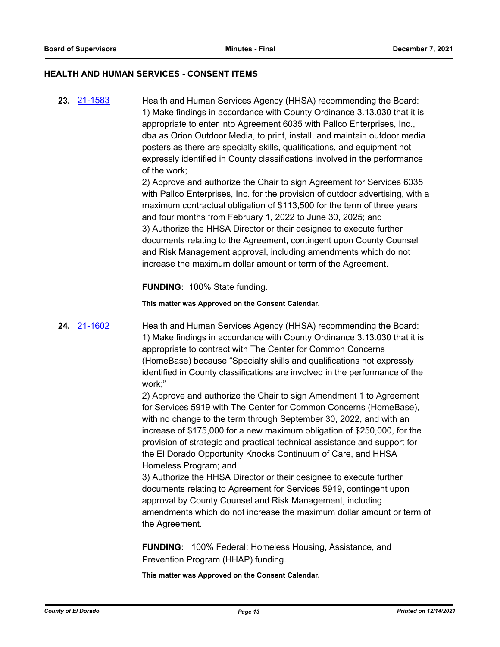#### **HEALTH AND HUMAN SERVICES - CONSENT ITEMS**

**23.** [21-1583](http://eldorado.legistar.com/gateway.aspx?m=l&id=/matter.aspx?key=30478) Health and Human Services Agency (HHSA) recommending the Board: 1) Make findings in accordance with County Ordinance 3.13.030 that it is appropriate to enter into Agreement 6035 with Pallco Enterprises, Inc., dba as Orion Outdoor Media, to print, install, and maintain outdoor media posters as there are specialty skills, qualifications, and equipment not expressly identified in County classifications involved in the performance of the work;

> 2) Approve and authorize the Chair to sign Agreement for Services 6035 with Pallco Enterprises, Inc. for the provision of outdoor advertising, with a maximum contractual obligation of \$113,500 for the term of three years and four months from February 1, 2022 to June 30, 2025; and 3) Authorize the HHSA Director or their designee to execute further documents relating to the Agreement, contingent upon County Counsel and Risk Management approval, including amendments which do not increase the maximum dollar amount or term of the Agreement.

**FUNDING:** 100% State funding.

**This matter was Approved on the Consent Calendar.**

**24.** [21-1602](http://eldorado.legistar.com/gateway.aspx?m=l&id=/matter.aspx?key=30497) Health and Human Services Agency (HHSA) recommending the Board: 1) Make findings in accordance with County Ordinance 3.13.030 that it is appropriate to contract with The Center for Common Concerns (HomeBase) because "Specialty skills and qualifications not expressly identified in County classifications are involved in the performance of the work;"

> 2) Approve and authorize the Chair to sign Amendment 1 to Agreement for Services 5919 with The Center for Common Concerns (HomeBase), with no change to the term through September 30, 2022, and with an increase of \$175,000 for a new maximum obligation of \$250,000, for the provision of strategic and practical technical assistance and support for the El Dorado Opportunity Knocks Continuum of Care, and HHSA Homeless Program; and

3) Authorize the HHSA Director or their designee to execute further documents relating to Agreement for Services 5919, contingent upon approval by County Counsel and Risk Management, including amendments which do not increase the maximum dollar amount or term of the Agreement.

**FUNDING:** 100% Federal: Homeless Housing, Assistance, and Prevention Program (HHAP) funding.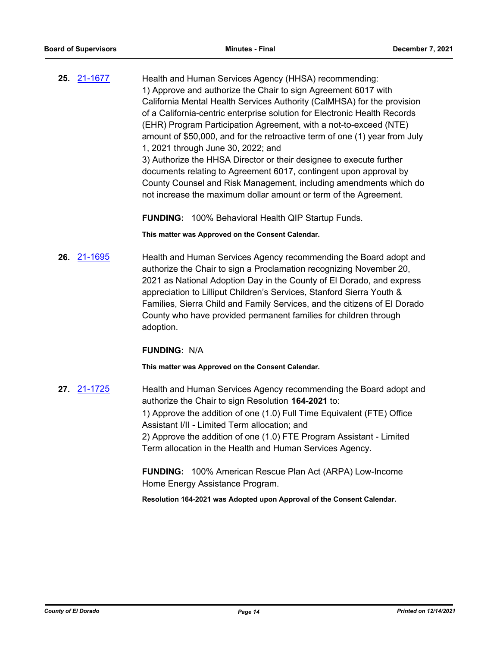**25.** [21-1677](http://eldorado.legistar.com/gateway.aspx?m=l&id=/matter.aspx?key=30572) Health and Human Services Agency (HHSA) recommending: 1) Approve and authorize the Chair to sign Agreement 6017 with California Mental Health Services Authority (CalMHSA) for the provision of a California-centric enterprise solution for Electronic Health Records (EHR) Program Participation Agreement, with a not-to-exceed (NTE) amount of \$50,000, and for the retroactive term of one (1) year from July 1, 2021 through June 30, 2022; and 3) Authorize the HHSA Director or their designee to execute further documents relating to Agreement 6017, contingent upon approval by County Counsel and Risk Management, including amendments which do not increase the maximum dollar amount or term of the Agreement.

**FUNDING:** 100% Behavioral Health QIP Startup Funds.

**This matter was Approved on the Consent Calendar.**

**26.** [21-1695](http://eldorado.legistar.com/gateway.aspx?m=l&id=/matter.aspx?key=30590) Health and Human Services Agency recommending the Board adopt and authorize the Chair to sign a Proclamation recognizing November 20, 2021 as National Adoption Day in the County of El Dorado, and express appreciation to Lilliput Children's Services, Stanford Sierra Youth & Families, Sierra Child and Family Services, and the citizens of El Dorado County who have provided permanent families for children through adoption.

#### **FUNDING:** N/A

**This matter was Approved on the Consent Calendar.**

**27.** [21-1725](http://eldorado.legistar.com/gateway.aspx?m=l&id=/matter.aspx?key=30620) Health and Human Services Agency recommending the Board adopt and authorize the Chair to sign Resolution **164-2021** to: 1) Approve the addition of one (1.0) Full Time Equivalent (FTE) Office Assistant I/II - Limited Term allocation; and 2) Approve the addition of one (1.0) FTE Program Assistant - Limited Term allocation in the Health and Human Services Agency.

> **FUNDING:** 100% American Rescue Plan Act (ARPA) Low-Income Home Energy Assistance Program.

**Resolution 164-2021 was Adopted upon Approval of the Consent Calendar.**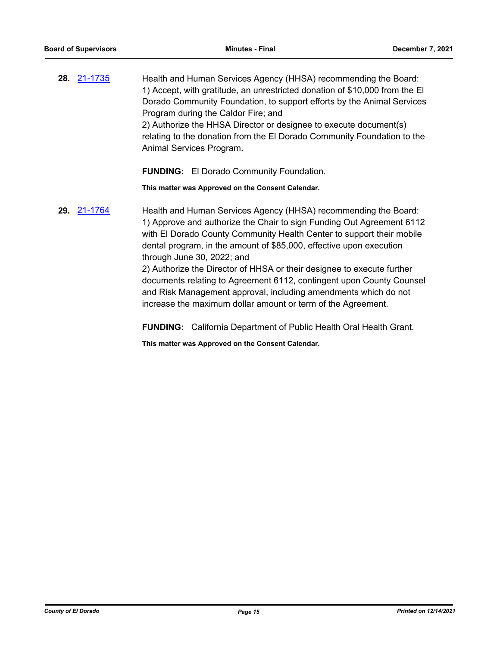**28.** [21-1735](http://eldorado.legistar.com/gateway.aspx?m=l&id=/matter.aspx?key=30630) Health and Human Services Agency (HHSA) recommending the Board: 1) Accept, with gratitude, an unrestricted donation of \$10,000 from the El Dorado Community Foundation, to support efforts by the Animal Services Program during the Caldor Fire; and 2) Authorize the HHSA Director or designee to execute document(s) relating to the donation from the El Dorado Community Foundation to the Animal Services Program.

**FUNDING:** El Dorado Community Foundation.

**This matter was Approved on the Consent Calendar.**

**29.** [21-1764](http://eldorado.legistar.com/gateway.aspx?m=l&id=/matter.aspx?key=30660) Health and Human Services Agency (HHSA) recommending the Board: 1) Approve and authorize the Chair to sign Funding Out Agreement 6112 with El Dorado County Community Health Center to support their mobile dental program, in the amount of \$85,000, effective upon execution through June 30, 2022; and

2) Authorize the Director of HHSA or their designee to execute further documents relating to Agreement 6112, contingent upon County Counsel and Risk Management approval, including amendments which do not increase the maximum dollar amount or term of the Agreement.

**FUNDING:** California Department of Public Health Oral Health Grant.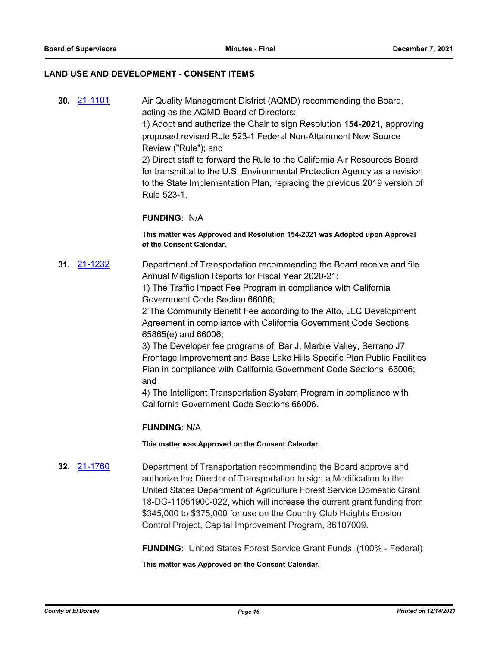#### **LAND USE AND DEVELOPMENT - CONSENT ITEMS**

**30.** [21-1101](http://eldorado.legistar.com/gateway.aspx?m=l&id=/matter.aspx?key=29996) Air Quality Management District (AQMD) recommending the Board, acting as the AQMD Board of Directors: 1) Adopt and authorize the Chair to sign Resolution **154-2021**, approving proposed revised Rule 523-1 Federal Non-Attainment New Source Review ("Rule"); and 2) Direct staff to forward the Rule to the California Air Resources Board for transmittal to the U.S. Environmental Protection Agency as a revision to the State Implementation Plan, replacing the previous 2019 version of Rule 523-1.

#### **FUNDING:** N/A

**This matter was Approved and Resolution 154-2021 was Adopted upon Approval of the Consent Calendar.**

**31.** [21-1232](http://eldorado.legistar.com/gateway.aspx?m=l&id=/matter.aspx?key=30127) Department of Transportation recommending the Board receive and file Annual Mitigation Reports for Fiscal Year 2020-21:

> 1) The Traffic Impact Fee Program in compliance with California Government Code Section 66006;

2 The Community Benefit Fee according to the Alto, LLC Development Agreement in compliance with California Government Code Sections 65865(e) and 66006;

3) The Developer fee programs of: Bar J, Marble Valley, Serrano J7 Frontage Improvement and Bass Lake Hills Specific Plan Public Facilities Plan in compliance with California Government Code Sections 66006; and

4) The Intelligent Transportation System Program in compliance with California Government Code Sections 66006.

#### **FUNDING:** N/A

**This matter was Approved on the Consent Calendar.**

**32.** [21-1760](http://eldorado.legistar.com/gateway.aspx?m=l&id=/matter.aspx?key=30656) Department of Transportation recommending the Board approve and authorize the Director of Transportation to sign a Modification to the United States Department of Agriculture Forest Service Domestic Grant 18-DG-11051900-022, which will increase the current grant funding from \$345,000 to \$375,000 for use on the Country Club Heights Erosion Control Project, Capital Improvement Program, 36107009.

**FUNDING:** United States Forest Service Grant Funds. (100% - Federal)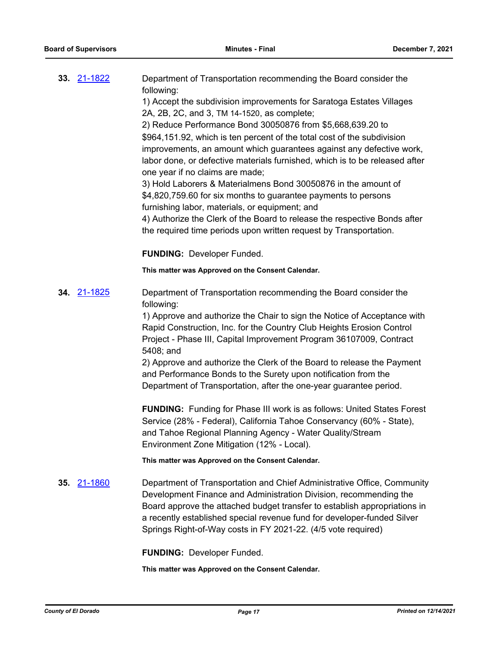| 33. 21-1822        | Department of Transportation recommending the Board consider the<br>following: |
|--------------------|--------------------------------------------------------------------------------|
|                    | 1) Accept the subdivision improvements for Saratoga Estates Villages           |
|                    | 2A, 2B, 2C, and 3, TM 14-1520, as complete;                                    |
|                    | 2) Reduce Performance Bond 30050876 from \$5,668,639.20 to                     |
|                    | \$964,151.92, which is ten percent of the total cost of the subdivision        |
|                    | improvements, an amount which guarantees against any defective work,           |
|                    | labor done, or defective materials furnished, which is to be released after    |
|                    | one year if no claims are made;                                                |
|                    | 3) Hold Laborers & Materialmens Bond 30050876 in the amount of                 |
|                    | \$4,820,759.60 for six months to guarantee payments to persons                 |
|                    | furnishing labor, materials, or equipment; and                                 |
|                    | 4) Authorize the Clerk of the Board to release the respective Bonds after      |
|                    | the required time periods upon written request by Transportation.              |
|                    | <b>FUNDING: Developer Funded.</b>                                              |
|                    | This matter was Approved on the Consent Calendar.                              |
| <b>34.</b> 21-1825 | Department of Transportation recommending the Board consider the               |
|                    | following:                                                                     |
|                    | 1) Approve and authorize the Chair to sign the Notice of Acceptance with       |
|                    | Rapid Construction, Inc. for the Country Club Heights Erosion Control          |
|                    | Project - Phase III, Capital Improvement Program 36107009, Contract            |
|                    | 5408; and                                                                      |
|                    | 2) Approve and authorize the Clerk of the Board to release the Payment         |
|                    | and Performance Bonds to the Surety upon notification from the                 |
|                    | Department of Transportation, after the one-year guarantee period.             |
|                    | <b>FUNDING:</b> Funding for Phase III work is as follows: United States Forest |
|                    | Service (28% - Federal), California Tahoe Conservancy (60% - State),           |
|                    | and Tahoe Regional Planning Agency - Water Quality/Stream                      |
|                    | Environment Zone Mitigation (12% - Local).                                     |
|                    | This matter was Approved on the Consent Calendar.                              |
| 35. 21-1860        | Department of Transportation and Chief Administrative Office, Community        |
|                    | Development Finance and Administration Division, recommending the              |
|                    | Board approve the attached budget transfer to establish appropriations in      |
|                    | a recently established special revenue fund for developer-funded Silver        |
|                    | Springs Right-of-Way costs in FY 2021-22. (4/5 vote required)                  |
|                    | <b>FUNDING: Developer Funded.</b>                                              |
|                    |                                                                                |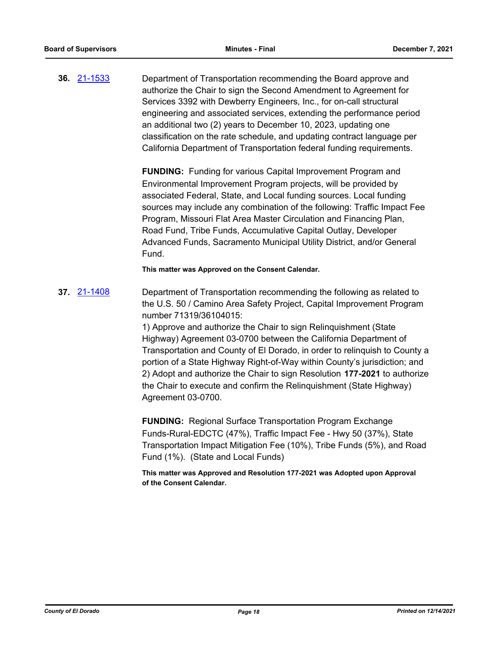**36.** [21-1533](http://eldorado.legistar.com/gateway.aspx?m=l&id=/matter.aspx?key=30428) Department of Transportation recommending the Board approve and authorize the Chair to sign the Second Amendment to Agreement for Services 3392 with Dewberry Engineers, Inc., for on-call structural engineering and associated services, extending the performance period an additional two (2) years to December 10, 2023, updating one classification on the rate schedule, and updating contract language per California Department of Transportation federal funding requirements.

> **FUNDING:** Funding for various Capital Improvement Program and Environmental Improvement Program projects, will be provided by associated Federal, State, and Local funding sources. Local funding sources may include any combination of the following: Traffic Impact Fee Program, Missouri Flat Area Master Circulation and Financing Plan, Road Fund, Tribe Funds, Accumulative Capital Outlay, Developer Advanced Funds, Sacramento Municipal Utility District, and/or General Fund.

**This matter was Approved on the Consent Calendar.**

**37.** [21-1408](http://eldorado.legistar.com/gateway.aspx?m=l&id=/matter.aspx?key=30303) Department of Transportation recommending the following as related to the U.S. 50 / Camino Area Safety Project, Capital Improvement Program number 71319/36104015:

> 1) Approve and authorize the Chair to sign Relinquishment (State Highway) Agreement 03-0700 between the California Department of Transportation and County of El Dorado, in order to relinquish to County a portion of a State Highway Right-of-Way within County's jurisdiction; and 2) Adopt and authorize the Chair to sign Resolution **177-2021** to authorize the Chair to execute and confirm the Relinquishment (State Highway) Agreement 03-0700.

**FUNDING:** Regional Surface Transportation Program Exchange Funds-Rural-EDCTC (47%), Traffic Impact Fee - Hwy 50 (37%), State Transportation Impact Mitigation Fee (10%), Tribe Funds (5%), and Road Fund (1%). (State and Local Funds)

**This matter was Approved and Resolution 177-2021 was Adopted upon Approval of the Consent Calendar.**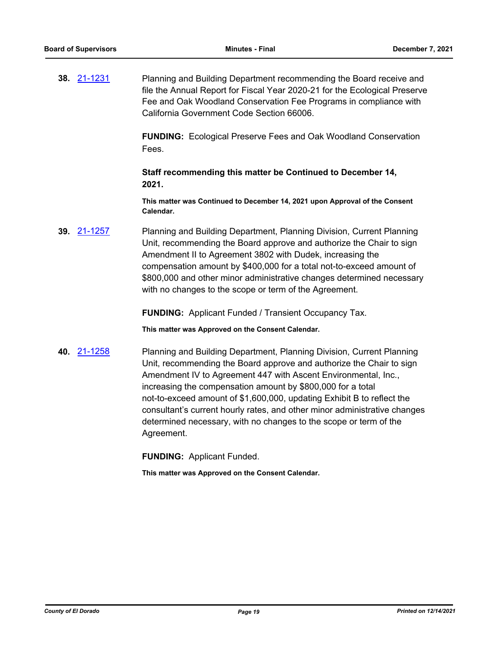**38.** [21-1231](http://eldorado.legistar.com/gateway.aspx?m=l&id=/matter.aspx?key=30126) Planning and Building Department recommending the Board receive and file the Annual Report for Fiscal Year 2020-21 for the Ecological Preserve Fee and Oak Woodland Conservation Fee Programs in compliance with California Government Code Section 66006.

> **FUNDING:** Ecological Preserve Fees and Oak Woodland Conservation Fees.

**Staff recommending this matter be Continued to December 14, 2021.**

**This matter was Continued to December 14, 2021 upon Approval of the Consent Calendar.**

**39.** [21-1257](http://eldorado.legistar.com/gateway.aspx?m=l&id=/matter.aspx?key=30152) Planning and Building Department, Planning Division, Current Planning Unit, recommending the Board approve and authorize the Chair to sign Amendment II to Agreement 3802 with Dudek, increasing the compensation amount by \$400,000 for a total not-to-exceed amount of \$800,000 and other minor administrative changes determined necessary with no changes to the scope or term of the Agreement.

**FUNDING:** Applicant Funded / Transient Occupancy Tax.

**This matter was Approved on the Consent Calendar.**

**40.** [21-1258](http://eldorado.legistar.com/gateway.aspx?m=l&id=/matter.aspx?key=30153) Planning and Building Department, Planning Division, Current Planning Unit, recommending the Board approve and authorize the Chair to sign Amendment IV to Agreement 447 with Ascent Environmental, Inc., increasing the compensation amount by \$800,000 for a total not-to-exceed amount of \$1,600,000, updating Exhibit B to reflect the consultant's current hourly rates, and other minor administrative changes determined necessary, with no changes to the scope or term of the Agreement.

**FUNDING:** Applicant Funded.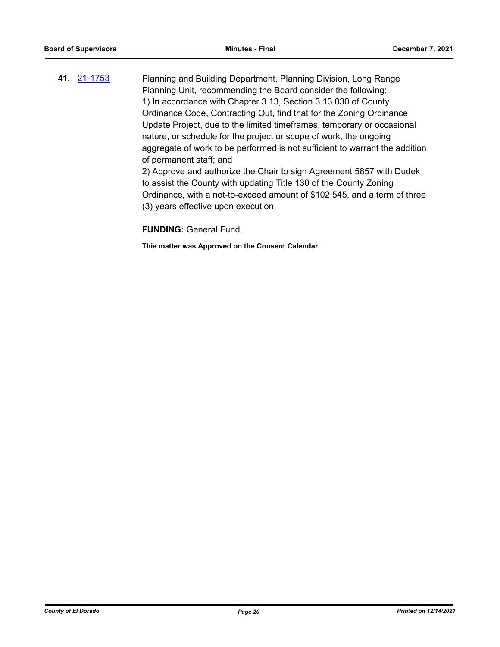**41.** [21-1753](http://eldorado.legistar.com/gateway.aspx?m=l&id=/matter.aspx?key=30649) Planning and Building Department, Planning Division, Long Range Planning Unit, recommending the Board consider the following: 1) In accordance with Chapter 3.13, Section 3.13.030 of County Ordinance Code, Contracting Out, find that for the Zoning Ordinance Update Project, due to the limited timeframes, temporary or occasional nature, or schedule for the project or scope of work, the ongoing aggregate of work to be performed is not sufficient to warrant the addition of permanent staff; and

2) Approve and authorize the Chair to sign Agreement 5857 with Dudek to assist the County with updating Title 130 of the County Zoning Ordinance, with a not-to-exceed amount of \$102,545, and a term of three (3) years effective upon execution.

**FUNDING:** General Fund.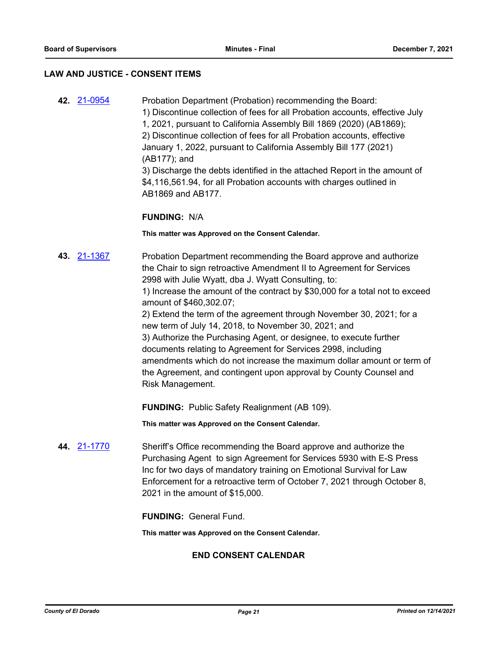#### **LAW AND JUSTICE - CONSENT ITEMS**

**42.** [21-0954](http://eldorado.legistar.com/gateway.aspx?m=l&id=/matter.aspx?key=29848) Probation Department (Probation) recommending the Board: 1) Discontinue collection of fees for all Probation accounts, effective July 1, 2021, pursuant to California Assembly Bill 1869 (2020) (AB1869); 2) Discontinue collection of fees for all Probation accounts, effective January 1, 2022, pursuant to California Assembly Bill 177 (2021) (AB177); and 3) Discharge the debts identified in the attached Report in the amount of \$4,116,561.94, for all Probation accounts with charges outlined in AB1869 and AB177.

### **FUNDING:** N/A

#### **This matter was Approved on the Consent Calendar.**

**43.** [21-1367](http://eldorado.legistar.com/gateway.aspx?m=l&id=/matter.aspx?key=30262) Probation Department recommending the Board approve and authorize the Chair to sign retroactive Amendment II to Agreement for Services 2998 with Julie Wyatt, dba J. Wyatt Consulting, to: 1) Increase the amount of the contract by \$30,000 for a total not to exceed amount of \$460,302.07; 2) Extend the term of the agreement through November 30, 2021; for a

new term of July 14, 2018, to November 30, 2021; and 3) Authorize the Purchasing Agent, or designee, to execute further documents relating to Agreement for Services 2998, including amendments which do not increase the maximum dollar amount or term of the Agreement, and contingent upon approval by County Counsel and Risk Management.

**FUNDING:** Public Safety Realignment (AB 109).

**This matter was Approved on the Consent Calendar.**

**44.** [21-1770](http://eldorado.legistar.com/gateway.aspx?m=l&id=/matter.aspx?key=30666) Sheriff's Office recommending the Board approve and authorize the Purchasing Agent to sign Agreement for Services 5930 with E-S Press Inc for two days of mandatory training on Emotional Survival for Law Enforcement for a retroactive term of October 7, 2021 through October 8, 2021 in the amount of \$15,000.

**FUNDING:** General Fund.

**This matter was Approved on the Consent Calendar.**

#### **END CONSENT CALENDAR**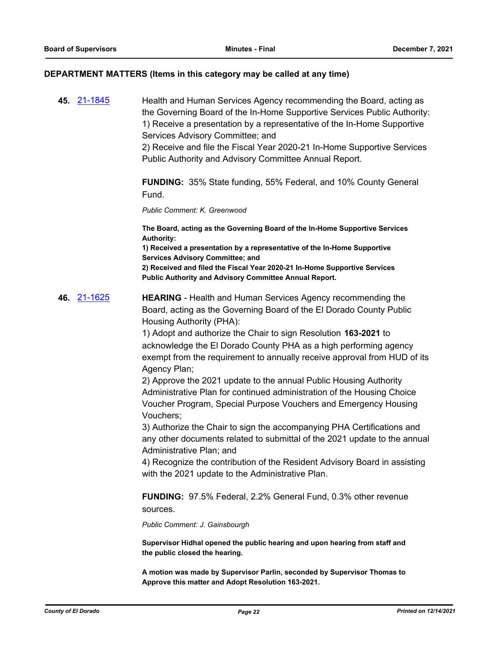#### **DEPARTMENT MATTERS (Items in this category may be called at any time)**

**45.** [21-1845](http://eldorado.legistar.com/gateway.aspx?m=l&id=/matter.aspx?key=30741) Health and Human Services Agency recommending the Board, acting as the Governing Board of the In-Home Supportive Services Public Authority: 1) Receive a presentation by a representative of the In-Home Supportive Services Advisory Committee; and

> 2) Receive and file the Fiscal Year 2020-21 In-Home Supportive Services Public Authority and Advisory Committee Annual Report.

**FUNDING:** 35% State funding, 55% Federal, and 10% County General Fund.

*Public Comment: K. Greenwood*

**The Board, acting as the Governing Board of the In-Home Supportive Services Authority:**

**1) Received a presentation by a representative of the In-Home Supportive Services Advisory Committee; and**

**2) Received and filed the Fiscal Year 2020-21 In-Home Supportive Services Public Authority and Advisory Committee Annual Report.**

**46.** [21-1625](http://eldorado.legistar.com/gateway.aspx?m=l&id=/matter.aspx?key=30520) **HEARING** - Health and Human Services Agency recommending the Board, acting as the Governing Board of the El Dorado County Public Housing Authority (PHA):

> 1) Adopt and authorize the Chair to sign Resolution **163-2021** to acknowledge the El Dorado County PHA as a high performing agency exempt from the requirement to annually receive approval from HUD of its Agency Plan;

2) Approve the 2021 update to the annual Public Housing Authority Administrative Plan for continued administration of the Housing Choice Voucher Program, Special Purpose Vouchers and Emergency Housing Vouchers;

3) Authorize the Chair to sign the accompanying PHA Certifications and any other documents related to submittal of the 2021 update to the annual Administrative Plan; and

4) Recognize the contribution of the Resident Advisory Board in assisting with the 2021 update to the Administrative Plan.

**FUNDING:** 97.5% Federal, 2.2% General Fund, 0.3% other revenue sources.

*Public Comment: J. Gainsbourgh*

**Supervisor Hidhal opened the public hearing and upon hearing from staff and the public closed the hearing.**

**A motion was made by Supervisor Parlin, seconded by Supervisor Thomas to Approve this matter and Adopt Resolution 163-2021.**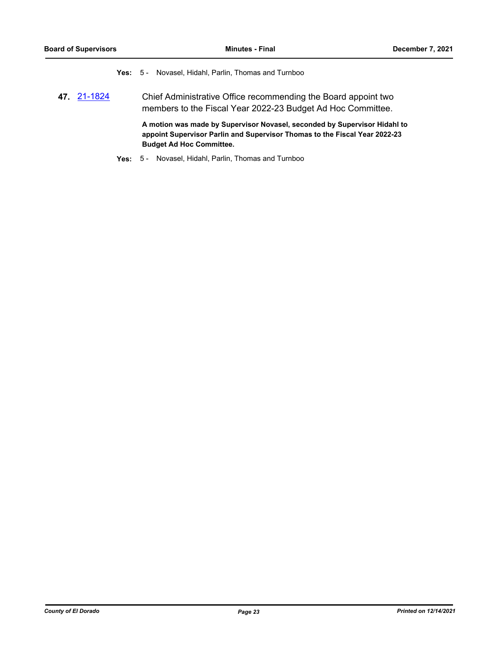**Yes:** 5 - Novasel, Hidahl, Parlin, Thomas and Turnboo

**47.** [21-1824](http://eldorado.legistar.com/gateway.aspx?m=l&id=/matter.aspx?key=30720) Chief Administrative Office recommending the Board appoint two members to the Fiscal Year 2022-23 Budget Ad Hoc Committee.

> **A motion was made by Supervisor Novasel, seconded by Supervisor Hidahl to appoint Supervisor Parlin and Supervisor Thomas to the Fiscal Year 2022-23 Budget Ad Hoc Committee.**

**Yes:** 5 - Novasel, Hidahl, Parlin, Thomas and Turnboo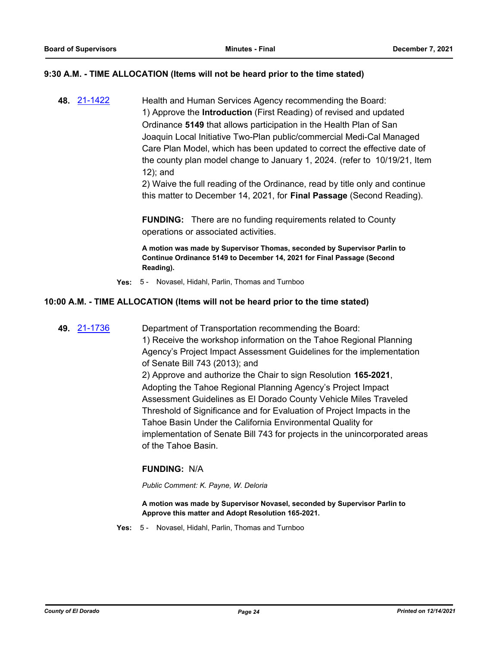#### **9:30 A.M. - TIME ALLOCATION (Items will not be heard prior to the time stated)**

**48.** [21-1422](http://eldorado.legistar.com/gateway.aspx?m=l&id=/matter.aspx?key=30317) Health and Human Services Agency recommending the Board: 1) Approve the **Introduction** (First Reading) of revised and updated Ordinance **5149** that allows participation in the Health Plan of San Joaquin Local Initiative Two-Plan public/commercial Medi-Cal Managed Care Plan Model, which has been updated to correct the effective date of the county plan model change to January 1, 2024. (refer to 10/19/21, Item 12); and

2) Waive the full reading of the Ordinance, read by title only and continue this matter to December 14, 2021, for **Final Passage** (Second Reading).

**FUNDING:** There are no funding requirements related to County operations or associated activities.

**A motion was made by Supervisor Thomas, seconded by Supervisor Parlin to Continue Ordinance 5149 to December 14, 2021 for Final Passage (Second Reading).**

**Yes:** 5 - Novasel, Hidahl, Parlin, Thomas and Turnboo

#### **10:00 A.M. - TIME ALLOCATION (Items will not be heard prior to the time stated)**

**49.** [21-1736](http://eldorado.legistar.com/gateway.aspx?m=l&id=/matter.aspx?key=30631) Department of Transportation recommending the Board: 1) Receive the workshop information on the Tahoe Regional Planning Agency's Project Impact Assessment Guidelines for the implementation of Senate Bill 743 (2013); and 2) Approve and authorize the Chair to sign Resolution **165-2021**, Adopting the Tahoe Regional Planning Agency's Project Impact Assessment Guidelines as El Dorado County Vehicle Miles Traveled Threshold of Significance and for Evaluation of Project Impacts in the Tahoe Basin Under the California Environmental Quality for implementation of Senate Bill 743 for projects in the unincorporated areas of the Tahoe Basin.

### **FUNDING:** N/A

*Public Comment: K. Payne, W. Deloria*

**A motion was made by Supervisor Novasel, seconded by Supervisor Parlin to Approve this matter and Adopt Resolution 165-2021.**

**Yes:** 5 - Novasel, Hidahl, Parlin, Thomas and Turnboo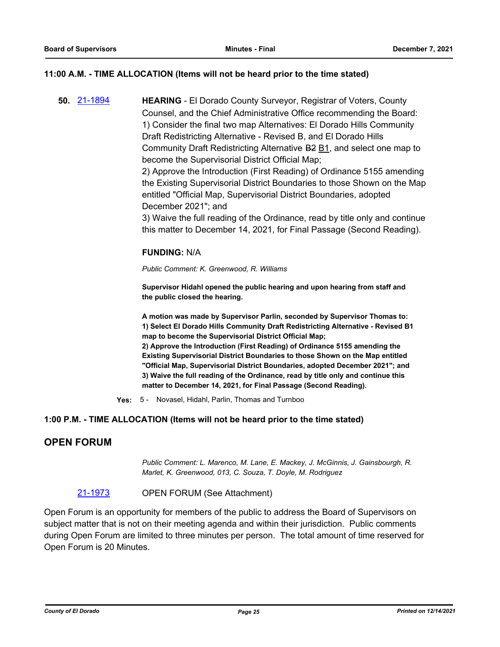### **11:00 A.M. - TIME ALLOCATION (Items will not be heard prior to the time stated)**

**50.** [21-1894](http://eldorado.legistar.com/gateway.aspx?m=l&id=/matter.aspx?key=30790) **HEARING** - El Dorado County Surveyor, Registrar of Voters, County Counsel, and the Chief Administrative Office recommending the Board: 1) Consider the final two map Alternatives: El Dorado Hills Community Draft Redistricting Alternative - Revised B, and El Dorado Hills Community Draft Redistricting Alternative B2 B1, and select one map to become the Supervisorial District Official Map; 2) Approve the Introduction (First Reading) of Ordinance 5155 amending the Existing Supervisorial District Boundaries to those Shown on the Map entitled "Official Map, Supervisorial District Boundaries, adopted December 2021"; and 3) Waive the full reading of the Ordinance, read by title only and continue this matter to December 14, 2021, for Final Passage (Second Reading).

#### **FUNDING:** N/A

*Public Comment: K. Greenwood, R. Williams*

**Supervisor Hidahl opened the public hearing and upon hearing from staff and the public closed the hearing.**

**A motion was made by Supervisor Parlin, seconded by Supervisor Thomas to: 1) Select El Dorado Hills Community Draft Redistricting Alternative - Revised B1 map to become the Supervisorial District Official Map; 2) Approve the Introduction (First Reading) of Ordinance 5155 amending the Existing Supervisorial District Boundaries to those Shown on the Map entitled "Official Map, Supervisorial District Boundaries, adopted December 2021"; and 3) Waive the full reading of the Ordinance, read by title only and continue this matter to December 14, 2021, for Final Passage (Second Reading).**

**Yes:** 5 - Novasel, Hidahl, Parlin, Thomas and Turnboo

#### **1:00 P.M. - TIME ALLOCATION (Items will not be heard prior to the time stated)**

## **OPEN FORUM**

*Public Comment: L. Marenco, M. Lane, E. Mackey, J. McGinnis, J. Gainsbourgh, R. Marlet, K. Greenwood, 013, C. Souza, T. Doyle, M. Rodriguez*

#### [21-1973](http://eldorado.legistar.com/gateway.aspx?m=l&id=/matter.aspx?key=30869) OPEN FORUM (See Attachment)

Open Forum is an opportunity for members of the public to address the Board of Supervisors on subject matter that is not on their meeting agenda and within their jurisdiction. Public comments during Open Forum are limited to three minutes per person. The total amount of time reserved for Open Forum is 20 Minutes.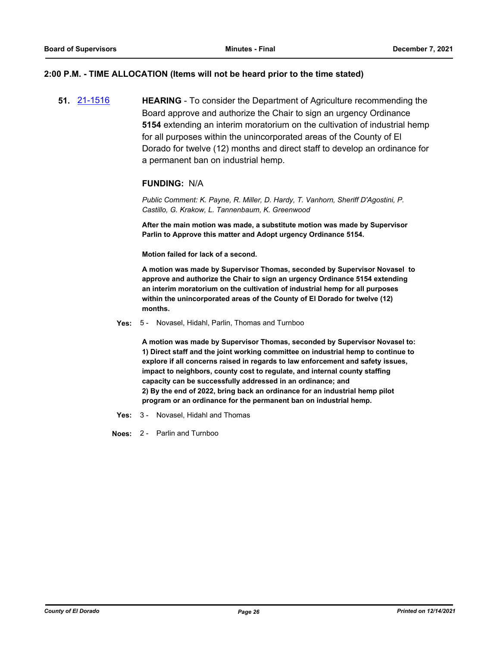#### **2:00 P.M. - TIME ALLOCATION (Items will not be heard prior to the time stated)**

**51.** [21-1516](http://eldorado.legistar.com/gateway.aspx?m=l&id=/matter.aspx?key=30411) **HEARING** - To consider the Department of Agriculture recommending the Board approve and authorize the Chair to sign an urgency Ordinance **5154** extending an interim moratorium on the cultivation of industrial hemp for all purposes within the unincorporated areas of the County of El Dorado for twelve (12) months and direct staff to develop an ordinance for a permanent ban on industrial hemp.

#### **FUNDING:** N/A

*Public Comment: K. Payne, R. Miller, D. Hardy, T. Vanhorn, Sheriff D'Agostini, P. Castillo, G. Krakow, L. Tannenbaum, K. Greenwood*

**After the main motion was made, a substitute motion was made by Supervisor Parlin to Approve this matter and Adopt urgency Ordinance 5154.**

**Motion failed for lack of a second.**

**A motion was made by Supervisor Thomas, seconded by Supervisor Novasel to approve and authorize the Chair to sign an urgency Ordinance 5154 extending an interim moratorium on the cultivation of industrial hemp for all purposes within the unincorporated areas of the County of El Dorado for twelve (12) months.**

#### **Yes:** 5 - Novasel, Hidahl, Parlin, Thomas and Turnboo

**A motion was made by Supervisor Thomas, seconded by Supervisor Novasel to: 1) Direct staff and the joint working committee on industrial hemp to continue to explore if all concerns raised in regards to law enforcement and safety issues, impact to neighbors, county cost to regulate, and internal county staffing capacity can be successfully addressed in an ordinance; and 2) By the end of 2022, bring back an ordinance for an industrial hemp pilot program or an ordinance for the permanent ban on industrial hemp.**

**Yes:** 3 - Novasel, Hidahl and Thomas

**Noes:** 2 - Parlin and Turnboo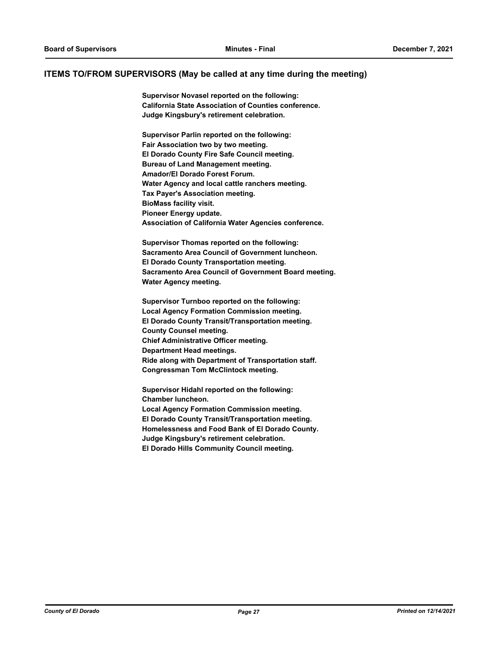#### **ITEMS TO/FROM SUPERVISORS (May be called at any time during the meeting)**

**Supervisor Novasel reported on the following: California State Association of Counties conference. Judge Kingsbury's retirement celebration.**

**Supervisor Parlin reported on the following: Fair Association two by two meeting. El Dorado County Fire Safe Council meeting. Bureau of Land Management meeting. Amador/El Dorado Forest Forum. Water Agency and local cattle ranchers meeting. Tax Payer's Association meeting. BioMass facility visit. Pioneer Energy update. Association of California Water Agencies conference.**

**Supervisor Thomas reported on the following: Sacramento Area Council of Government luncheon. El Dorado County Transportation meeting. Sacramento Area Council of Government Board meeting. Water Agency meeting.**

**Supervisor Turnboo reported on the following: Local Agency Formation Commission meeting. El Dorado County Transit/Transportation meeting. County Counsel meeting. Chief Administrative Officer meeting. Department Head meetings. Ride along with Department of Transportation staff. Congressman Tom McClintock meeting.**

**Supervisor Hidahl reported on the following: Chamber luncheon. Local Agency Formation Commission meeting. El Dorado County Transit/Transportation meeting. Homelessness and Food Bank of El Dorado County. Judge Kingsbury's retirement celebration. El Dorado Hills Community Council meeting.**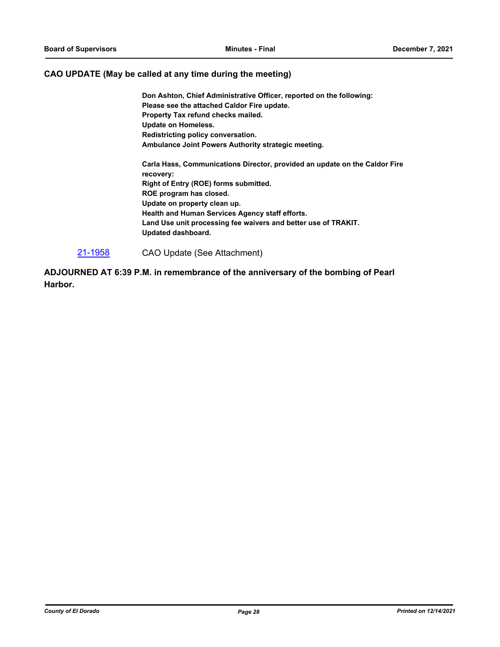#### **CAO UPDATE (May be called at any time during the meeting)**

**Don Ashton, Chief Administrative Officer, reported on the following: Please see the attached Caldor Fire update. Property Tax refund checks mailed. Update on Homeless. Redistricting policy conversation. Ambulance Joint Powers Authority strategic meeting.**

**Carla Hass, Communications Director, provided an update on the Caldor Fire recovery: Right of Entry (ROE) forms submitted. ROE program has closed. Update on property clean up. Health and Human Services Agency staff efforts. Land Use unit processing fee waivers and better use of TRAKIT. Updated dashboard.**

[21-1958](http://eldorado.legistar.com/gateway.aspx?m=l&id=/matter.aspx?key=30854) CAO Update (See Attachment)

**ADJOURNED AT 6:39 P.M. in remembrance of the anniversary of the bombing of Pearl Harbor.**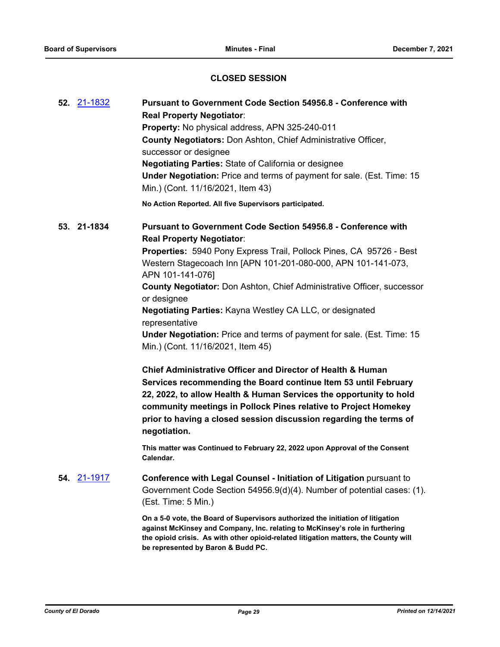# **CLOSED SESSION**

| 52. 21-1832 | Pursuant to Government Code Section 54956.8 - Conference with<br><b>Real Property Negotiator:</b><br>Property: No physical address, APN 325-240-011<br>County Negotiators: Don Ashton, Chief Administrative Officer,<br>successor or designee<br><b>Negotiating Parties: State of California or designee</b><br><b>Under Negotiation:</b> Price and terms of payment for sale. (Est. Time: 15<br>Min.) (Cont. 11/16/2021, Item 43)                                                                                                                                |
|-------------|-------------------------------------------------------------------------------------------------------------------------------------------------------------------------------------------------------------------------------------------------------------------------------------------------------------------------------------------------------------------------------------------------------------------------------------------------------------------------------------------------------------------------------------------------------------------|
|             | No Action Reported. All five Supervisors participated.                                                                                                                                                                                                                                                                                                                                                                                                                                                                                                            |
| 53. 21-1834 | <b>Pursuant to Government Code Section 54956.8 - Conference with</b><br><b>Real Property Negotiator:</b><br>Properties: 5940 Pony Express Trail, Pollock Pines, CA 95726 - Best<br>Western Stagecoach Inn [APN 101-201-080-000, APN 101-141-073,<br>APN 101-141-076]<br>County Negotiator: Don Ashton, Chief Administrative Officer, successor<br>or designee<br>Negotiating Parties: Kayna Westley CA LLC, or designated<br>representative<br><b>Under Negotiation:</b> Price and terms of payment for sale. (Est. Time: 15<br>Min.) (Cont. 11/16/2021, Item 45) |
|             | <b>Chief Administrative Officer and Director of Health &amp; Human</b><br>Services recommending the Board continue Item 53 until February<br>22, 2022, to allow Health & Human Services the opportunity to hold<br>community meetings in Pollock Pines relative to Project Homekey<br>prior to having a closed session discussion regarding the terms of<br>negotiation.<br>This matter was Continued to February 22, 2022 upon Approval of the Consent<br>Calendar.                                                                                              |
| 54. 21-1917 | Conference with Legal Counsel - Initiation of Litigation pursuant to<br>Government Code Section 54956.9(d)(4). Number of potential cases: (1).<br>(Est. Time: 5 Min.)                                                                                                                                                                                                                                                                                                                                                                                             |
|             | On a 5-0 vote, the Board of Supervisors authorized the initiation of litigation<br>against McKinsey and Company, Inc. relating to McKinsey's role in furthering<br>the opioid crisis. As with other opioid-related litigation matters, the County will<br>be represented by Baron & Budd PC.                                                                                                                                                                                                                                                                      |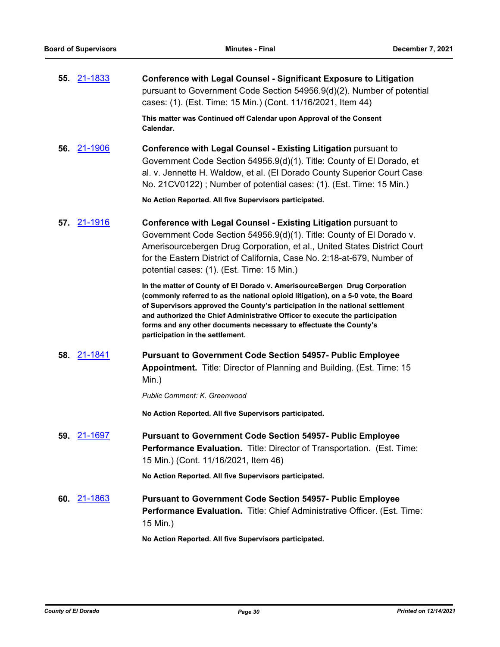**55.** [21-1833](http://eldorado.legistar.com/gateway.aspx?m=l&id=/matter.aspx?key=30729) **Conference with Legal Counsel - Significant Exposure to Litigation** pursuant to Government Code Section 54956.9(d)(2). Number of potential cases: (1). (Est. Time: 15 Min.) (Cont. 11/16/2021, Item 44)

> **This matter was Continued off Calendar upon Approval of the Consent Calendar.**

**56.** [21-1906](http://eldorado.legistar.com/gateway.aspx?m=l&id=/matter.aspx?key=30802) **Conference with Legal Counsel - Existing Litigation** pursuant to Government Code Section 54956.9(d)(1). Title: County of El Dorado, et al. v. Jennette H. Waldow, et al. (El Dorado County Superior Court Case No. 21CV0122) ; Number of potential cases: (1). (Est. Time: 15 Min.)

**No Action Reported. All five Supervisors participated.**

**57.** [21-1916](http://eldorado.legistar.com/gateway.aspx?m=l&id=/matter.aspx?key=30812) **Conference with Legal Counsel - Existing Litigation** pursuant to Government Code Section 54956.9(d)(1). Title: County of El Dorado v. Amerisourcebergen Drug Corporation, et al., United States District Court for the Eastern District of California, Case No. 2:18-at-679, Number of potential cases: (1). (Est. Time: 15 Min.)

> **In the matter of County of El Dorado v. AmerisourceBergen Drug Corporation (commonly referred to as the national opioid litigation), on a 5-0 vote, the Board of Supervisors approved the County's participation in the national settlement and authorized the Chief Administrative Officer to execute the participation forms and any other documents necessary to effectuate the County's participation in the settlement.**

**58.** [21-1841](http://eldorado.legistar.com/gateway.aspx?m=l&id=/matter.aspx?key=30737) **Pursuant to Government Code Section 54957- Public Employee Appointment.** Title: Director of Planning and Building. (Est. Time: 15 Min.)

*Public Comment: K. Greenwood*

**No Action Reported. All five Supervisors participated.**

**59.** [21-1697](http://eldorado.legistar.com/gateway.aspx?m=l&id=/matter.aspx?key=30592) **Pursuant to Government Code Section 54957- Public Employee Performance Evaluation.** Title: Director of Transportation. (Est. Time: 15 Min.) (Cont. 11/16/2021, Item 46)

**No Action Reported. All five Supervisors participated.**

**60.** [21-1863](http://eldorado.legistar.com/gateway.aspx?m=l&id=/matter.aspx?key=30759) **Pursuant to Government Code Section 54957- Public Employee Performance Evaluation.** Title: Chief Administrative Officer. (Est. Time: 15 Min.)

**No Action Reported. All five Supervisors participated.**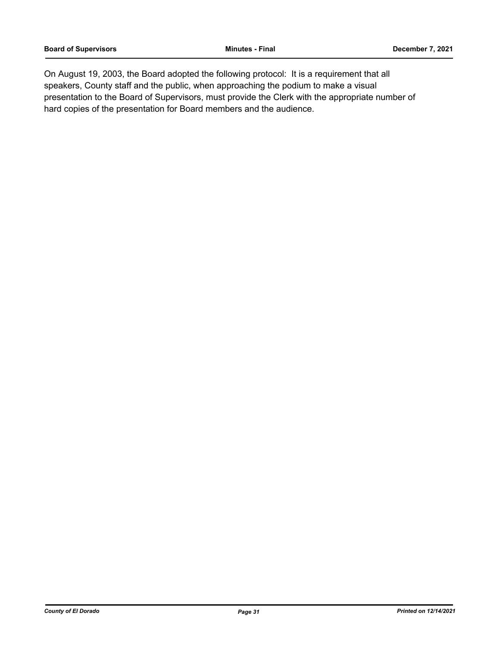On August 19, 2003, the Board adopted the following protocol: It is a requirement that all speakers, County staff and the public, when approaching the podium to make a visual presentation to the Board of Supervisors, must provide the Clerk with the appropriate number of hard copies of the presentation for Board members and the audience.